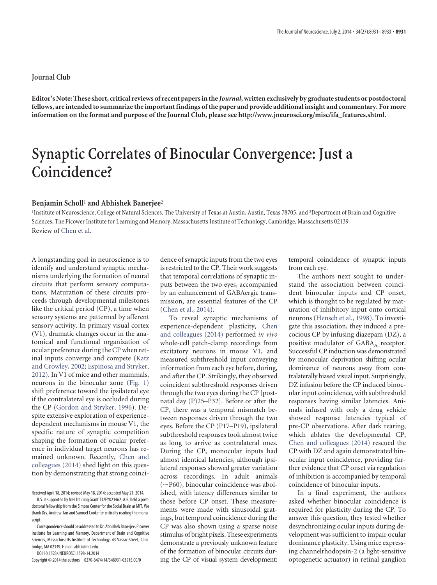## **Journal Club**

**Editor's Note: These short, critical reviews of recent papers in the** *Journal***, written exclusively by graduate students or postdoctoral fellows, are intended to summarize the important findings of the paper and provide additional insight and commentary. For more information on the format and purpose of the Journal Club, please see [http://www.jneurosci.org/misc/ifa\\_features.shtml.](http://www.jneurosci.org/misc/ifa_features.shtml)**

## **Synaptic Correlates of Binocular Convergence: Just a Coincidence?**

## **Benjamin Scholl**<sup>1</sup> **and Abhishek Banerjee**<sup>2</sup>

<sup>1</sup>Institute of Neuroscience, College of Natural Sciences, The University of Texas at Austin, Austin, Texas 78705, and <sup>2</sup>Department of Brain and Cognitive Sciences, The Picower Institute for Learning and Memory, Massachusetts Institute of Technology, Cambridge, Massachusetts 02139 Review of [Chen et al.](http://www.jneurosci.org/content/34/8/2940.full)

A longstanding goal in neuroscience is to identify and understand synaptic mechanisms underlying the formation of neural circuits that perform sensory computations. Maturation of these circuits proceeds through developmental milestones like the critical period (CP), a time when sensory systems are patterned by afferent sensory activity. In primary visual cortex (V1), dramatic changes occur in the anatomical and functional organization of ocular preference during the CP when retinal inputs converge and compete [\(Katz](#page-2-0) [and Crowley, 2002;](#page-2-0) [Espinosa and Stryker,](#page-2-1) [2012\)](#page-2-1). In V1 of mice and other mammals, neurons in the binocular zone [\(Fig. 1\)](#page-1-0) shift preference toward the ipsilateral eye if the contralateral eye is occluded during the CP [\(Gordon and Stryker, 1996\)](#page-2-2). Despite extensive exploration of experiencedependent mechanisms in mouse V1, the specific nature of synaptic competition shaping the formation of ocular preference in individual target neurons has remained unknown. Recently, [Chen and](#page-2-3) [colleagues \(2014\)](#page-2-3) shed light on this question by demonstrating that strong coinci-

Received April 18, 2014; revised May 18, 2014; accepted May 21, 2014.

DOI:10.1523/JNEUROSCI.1598-14.2014

Copyright © 2014 the authors 0270-6474/14/348931-03\$15.00/0

dence of synaptic inputs from the two eyes is restricted to the CP. Their work suggests that temporal correlations of synaptic inputs between the two eyes, accompanied by an enhancement of GABAergic transmission, are essential features of the CP [\(Chen et al., 2014\)](#page-2-3).

To reveal synaptic mechanisms of experience-dependent plasticity, [Chen](#page-2-3) [and colleagues \(2014\)](#page-2-3) performed *in vivo* whole-cell patch-clamp recordings from excitatory neurons in mouse V1, and measured subthreshold input conveying information from each eye before, during, and after the CP. Strikingly, they observed coincident subthreshold responses driven through the two eyes during the CP [postnatal day (P)25–P32]. Before or after the CP, there was a temporal mismatch between responses driven through the two eyes. Before the CP (P17–P19), ipsilateral subthreshold responses took almost twice as long to arrive as contralateral ones. During the CP, monocular inputs had almost identical latencies, although ipsilateral responses showed greater variation across recordings. In adult animals (-P60), binocular coincidence was abolished, with latency differences similar to those before CP onset. These measurements were made with sinusoidal gratings, but temporal coincidence during the CP was also shown using a sparse noise stimulus of bright pixels. These experiments demonstrate a previously unknown feature of the formation of binocular circuits during the CP of visual system development: temporal coincidence of synaptic inputs from each eye.

The authors next sought to understand the association between coincident binocular inputs and CP onset, which is thought to be regulated by maturation of inhibitory input onto cortical neurons [\(Hensch et al., 1998\)](#page-2-4). To investigate this association, they induced a precocious CP by infusing diazepam (DZ), a positive modulator of  $GABA_A$  receptor. Successful CP induction was demonstrated by monocular deprivation shifting ocular dominance of neurons away from contralaterally biased visual input. Surprisingly, DZ infusion before the CP induced binocular input coincidence, with subthreshold responses having similar latencies. Animals infused with only a drug vehicle showed response latencies typical of pre-CP observations. After dark rearing, which ablates the developmental CP, [Chen and colleagues \(2014\)](#page-2-3) rescued the CP with DZ and again demonstrated binocular input coincidence, providing further evidence that CP onset via regulation of inhibition is accompanied by temporal coincidence of binocular inputs.

In a final experiment, the authors asked whether binocular coincidence is required for plasticity during the CP. To answer this question, they tested whether desynchronizing ocular inputs during development was sufficient to impair ocular dominance plasticity. Using mice expressing channelrhodopsin-2 (a light-sensitive optogenetic actuator) in retinal ganglion

B.S. is supported by NIH Training Grant T32EY021462. A.B. held a postdoctoral fellowship from the Simons Center for the Social Brain at MIT. We thank Drs. Andrew Tan and Samuel Cooke for critically reading the manuscript.

Correspondence should be addressed to Dr. Abhishek Banerjee, Picower Institute for Learning and Memory, Department of Brain and Cognitive Sciences, Massachusetts Institute of Technology, 43 Vassar Street, Cambridge, MA 02139. E-mail: abhii@mit.edu.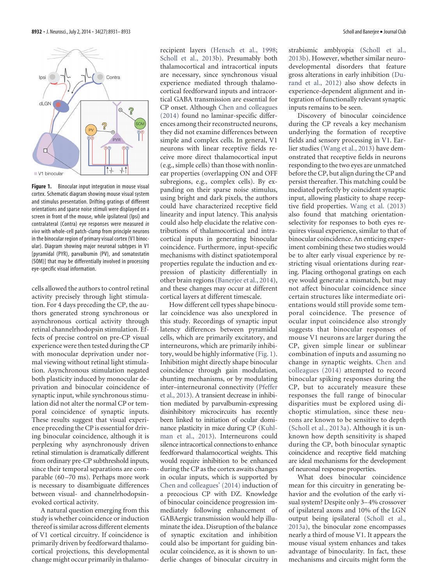

<span id="page-1-0"></span>Figure 1. Binocular input integration in mouse visual cortex. Schematic diagram showing mouse visual system and stimulus presentation. Drifting gratings of different orientations and sparse noise stimuli were displayed on a screen in front of the mouse, while ipsilateral (Ipsi) and contralateral (Contra) eye responses were measured *in vivo* with whole-cell patch-clamp from principle neurons in the binocular region of primary visual cortex (V1 binocular). Diagram showing major neuronal subtypes in V1 [pyramidal (PYR), parvalbumin (PV), and somatostatin (SOM)] that may be differentially involved in processing eye-specific visual information.

cells allowed the authors to control retinal activity precisely through light stimulation. For 4 days preceding the CP, the authors generated strong synchronous or asynchronous cortical activity through retinal channelrhodopsin stimulation. Effects of precise control on pre-CP visual experience were then tested during the CP with monocular deprivation under normal viewing without retinal light stimulation. Asynchronous stimulation negated both plasticity induced by monocular deprivation and binocular coincidence of synaptic input, while synchronous stimulation did not alter the normal CP or temporal coincidence of synaptic inputs. These results suggest that visual experience preceding the CP is essential for driving binocular coincidence, although it is perplexing why asynchronously driven retinal stimulation is dramatically different from ordinary pre-CP subthreshold inputs, since their temporal separations are comparable (60 –70 ms). Perhaps more work is necessary to disambiguate differences between visual- and channelrhodopsinevoked cortical activity.

A natural question emerging from this study is whether coincidence or induction thereof is similar across different elements of V1 cortical circuitry. If coincidence is primarily driven by feedforward thalamocortical projections, this developmental change might occur primarily in thalamorecipient layers [\(Hensch et al., 1998;](#page-2-4) [Scholl et al., 2013b\)](#page-2-5). Presumably both thalamocortical and intracortical inputs are necessary, since synchronous visual experience mediated through thalamocortical feedforward inputs and intracortical GABA transmission are essential for CP onset. Although [Chen and colleagues](#page-2-3) [\(2014\)](#page-2-3) found no laminar-specific differences among their reconstructed neurons, they did not examine differences between simple and complex cells. In general, V1 neurons with linear receptive fields receive more direct thalamocortical input (e.g., simple cells) than those with nonlinear properties (overlapping ON and OFF subregions, e.g., complex cells). By expanding on their sparse noise stimulus, using bright and dark pixels, the authors could have characterized receptive field linearity and input latency. This analysis could also help elucidate the relative contributions of thalamocortical and intracortical inputs in generating binocular coincidence. Furthermore, input-specific mechanisms with distinct spatiotemporal properties regulate the induction and expression of plasticity differentially in other brain regions [\(Banerjee et al., 2014\)](#page-2-6), and these changes may occur at different cortical layers at different timescale.

How different cell types shape binocular coincidence was also unexplored in this study. Recordings of synaptic input latency differences between pyramidal cells, which are primarily excitatory, and interneurons, which are primarily inhibitory, would be highly informative [\(Fig. 1\)](#page-1-0). Inhibition might directly shape binocular coincidence through gain modulation, shunting mechanisms, or by modulating inter–interneuronal connectivity [\(Pfeffer](#page-2-7) [et al., 2013\)](#page-2-7). A transient decrease in inhibition mediated by parvalbumin-expressing disinhibitory microcircuits has recently been linked to initiation of ocular dominance plasticity in mice during CP [\(Kuhl](#page-2-8)[man et al., 2013\)](#page-2-8). Interneurons could silence intracortical connections to enhance feedforward thalamocortical weights. This would require inhibition to be enhanced during the CP as the cortex awaits changes in ocular inputs, which is supported by [Chen and colleagues' \(2014\)](#page-2-3) induction of a precocious CP with DZ. Knowledge of binocular coincidence progression immediately following enhancement of GABAergic transmission would help illuminate the idea. Disruption of the balance of synaptic excitation and inhibition could also be important for guiding binocular coincidence, as it is shown to underlie changes of binocular circuitry in strabismic amblyopia [\(Scholl et al.,](#page-2-5) [2013b\)](#page-2-5). However, whether similar neurodevelopmental disorders that feature gross alterations in early inhibition [\(Du](#page-2-9)[rand et al., 2012\)](#page-2-9) also show defects in experience-dependent alignment and integration of functionally relevant synaptic inputs remains to be seen.

Discovery of binocular coincidence during the CP reveals a key mechanism underlying the formation of receptive fields and sensory processing in V1. Earlier studies [\(Wang et al., 2013\)](#page-2-10) have demonstrated that receptive fields in neurons responding to the two eyes are unmatched before the CP, but align during the CP and persist thereafter. This matching could be mediated perfectly by coincident synaptic input, allowing plasticity to shape receptive field properties. [Wang et al. \(2013\)](#page-2-10) also found that matching orientationselectivity for responses to both eyes requires visual experience, similar to that of binocular coincidence. An enticing experiment combining these two studies would be to alter early visual experience by restricting visual orientations during rearing. Placing orthogonal gratings on each eye would generate a mismatch, but may not affect binocular coincidence since certain structures like intermediate orientations would still provide some temporal coincidence. The presence of ocular input coincidence also strongly suggests that binocular responses of mouse V1 neurons are larger during the CP, given simple linear or sublinear combination of inputs and assuming no change in synaptic weights. [Chen and](#page-2-3) [colleagues \(2014\)](#page-2-3) attempted to record binocular spiking responses during the CP, but to accurately measure these responses the full range of binocular disparities must be explored using dichoptic stimulation, since these neurons are known to be sensitive to depth [\(Scholl et al., 2013a\)](#page-2-11). Although it is unknown how depth sensitivity is shaped during the CP, both binocular synaptic coincidence and receptive field matching are ideal mechanisms for the development of neuronal response properties.

What does binocular coincidence mean for this circuitry in generating behavior and the evolution of the early visual system? Despite only 3–4% crossover of ipsilateral axons and 10% of the LGN output being ipsilateral [\(Scholl et al.,](#page-2-11) [2013a\)](#page-2-11), the binocular zone encompasses nearly a third of mouse V1. It appears the mouse visual system enhances and takes advantage of binocularity. In fact, these mechanisms and circuits might form the